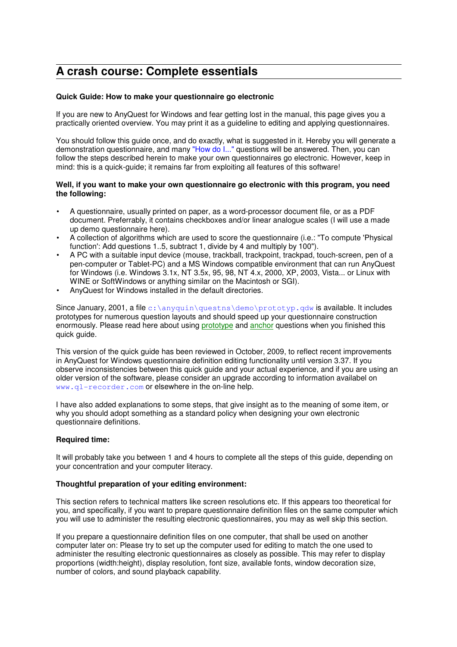# **A crash course: Complete essentials**

# **Quick Guide: How to make your questionnaire go electronic**

If you are new to AnyQuest for Windows and fear getting lost in the manual, this page gives you a practically oriented overview. You may print it as a guideline to editing and applying questionnaires.

You should follow this guide once, and do exactly, what is suggested in it. Hereby you will generate a demonstration questionnaire, and many "How do I..." questions will be answered. Then, you can follow the steps described herein to make your own questionnaires go electronic. However, keep in mind: this is a quick-guide; it remains far from exploiting all features of this software!

### **Well, if you want to make your own questionnaire go electronic with this program, you need the following:**

- A questionnaire, usually printed on paper, as a word-processor document file, or as a PDF document. Preferrably, it contains checkboxes and/or linear analogue scales (I will use a made up demo questionnaire here).
- A collection of algorithms which are used to score the questionnaire (i.e.: "To compute 'Physical function': Add questions 1..5, subtract 1, divide by 4 and multiply by 100").
- A PC with a suitable input device (mouse, trackball, trackpoint, trackpad, touch-screen, pen of a pen-computer or Tablet-PC) and a MS Windows compatible environment that can run AnyQuest for Windows (i.e. Windows 3.1x, NT 3.5x, 95, 98, NT 4.x, 2000, XP, 2003, Vista... or Linux with WINE or SoftWindows or anything similar on the Macintosh or SGI).
- AnyQuest for Windows installed in the default directories.

Since January, 2001, a file c:  $\arctan\quationarrows$ questns $\demot$ prototyp. $\adw$  is available. It includes prototypes for numerous question layouts and should speed up your questionnaire construction enormously. Please read here about using prototype and anchor questions when you finished this quick guide.

This version of the quick guide has been reviewed in October, 2009, to reflect recent improvements in AnyQuest for Windows questionnaire definition editing functionality until version 3.37. If you observe inconsistencies between this quick guide and your actual experience, and if you are using an older version of the software, please consider an upgrade according to information availabel on www.ql-recorder.com or elsewhere in the on-line help.

I have also added explanations to some steps, that give insight as to the meaning of some item, or why you should adopt something as a standard policy when designing your own electronic questionnaire definitions.

# **Required time:**

It will probably take you between 1 and 4 hours to complete all the steps of this guide, depending on your concentration and your computer literacy.

# **Thoughtful preparation of your editing environment:**

This section refers to technical matters like screen resolutions etc. If this appears too theoretical for you, and specifically, if you want to prepare questionnaire definition files on the same computer which you will use to administer the resulting electronic questionnaires, you may as well skip this section.

If you prepare a questionnaire definition files on one computer, that shall be used on another computer later on: Please try to set up the computer used for editing to match the one used to administer the resulting electronic questionnaires as closely as possible. This may refer to display proportions (width:height), display resolution, font size, available fonts, window decoration size, number of colors, and sound playback capability.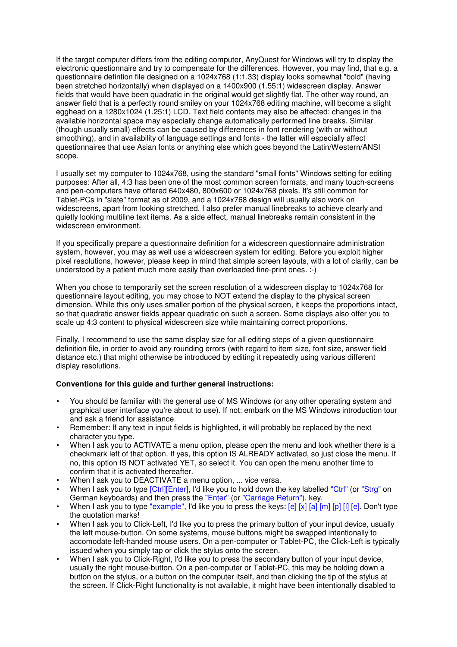If the target computer differs from the editing computer, AnyQuest for Windows will try to display the electronic questionnaire and try to compensate for the differences. However, you may find, that e.g. a questionnaire defintion file designed on a 1024x768 (1:1.33) display looks somewhat "bold" (having been stretched horizontally) when displayed on a 1400x900 (1.55:1) widescreen display. Answer fields that would have been quadratic in the original would get slightly flat. The other way round, an answer field that is a perfectly round smiley on your 1024x768 editing machine, will become a slight egghead on a 1280x1024 (1.25:1) LCD. Text field contents may also be affected: changes in the available horizontal space may especially change automatically performed line breaks. Similar (though usually small) effects can be caused by differences in font rendering (with or without smoothing), and in availability of language settings and fonts - the latter will especially affect questionnaires that use Asian fonts or anything else which goes beyond the Latin/Western/ANSI scope.

I usually set my computer to 1024x768, using the standard "small fonts" Windows setting for editing purposes: After all, 4:3 has been one of the most common screen formats, and many touch-screens and pen-computers have offered 640x480, 800x600 or 1024x768 pixels. It's still common for Tablet-PCs in "slate" format as of 2009, and a 1024x768 design will usually also work on widescreens, apart from looking stretched. I also prefer manual linebreaks to achieve clearly and quietly looking multiline text items. As a side effect, manual linebreaks remain consistent in the widescreen environment.

If you specifically prepare a questionnaire definition for a widescreen questionnaire administration system, however, you may as well use a widescreen system for editing. Before you exploit higher pixel resolutions, however, please keep in mind that simple screen layouts, with a lot of clarity, can be understood by a patient much more easily than overloaded fine-print ones. :-)

When you chose to temporarily set the screen resolution of a widescreen display to 1024x768 for questionnaire layout editing, you may chose to NOT extend the display to the physical screen dimension. While this only uses smaller portion of the physical screen, it keeps the proportions intact, so that quadratic answer fields appear quadratic on such a screen. Some displays also offer you to scale up 4:3 content to physical widescreen size while maintaining correct proportions.

Finally, I recommend to use the same display size for all editing steps of a given questionnaire definition file, in order to avoid any rounding errors (with regard to item size, font size, answer field distance etc.) that might otherwise be introduced by editing it repeatedly using various different display resolutions.

# **Conventions for this guide and further general instructions:**

- You should be familiar with the general use of MS Windows (or any other operating system and graphical user interface you're about to use). If not: embark on the MS Windows introduction tour and ask a friend for assistance.
- Remember: If any text in input fields is highlighted, it will probably be replaced by the next character you type.
- When I ask you to ACTIVATE a menu option, please open the menu and look whether there is a checkmark left of that option. If yes, this option IS ALREADY activated, so just close the menu. If no, this option IS NOT activated YET, so select it. You can open the menu another time to confirm that it is activated thereafter.
- When I ask you to DEACTIVATE a menu option, ... vice versa.
- When I ask you to type [Ctrl][Enter], I'd like you to hold down the key labelled "Ctrl" (or "Strg" on German keyboards) and then press the "Enter" (or "Carriage Return"). key.
- When I ask you to type "example", I'd like you to press the keys:  $[e]$  [x] [a] [m] [p] [i] [e]. Don't type the quotation marks!
- When I ask you to Click-Left, I'd like you to press the primary button of your input device, usually the left mouse-button. On some systems, mouse buttons might be swapped intentionally to accomodate left-handed mouse users. On a pen-computer or Tablet-PC, the Click-Left is typically issued when you simply tap or click the stylus onto the screen.
- When I ask you to Click-Right, I'd like you to press the secondary button of your input device, usually the right mouse-button. On a pen-computer or Tablet-PC, this may be holding down a button on the stylus, or a button on the computer itself, and then clicking the tip of the stylus at the screen. If Click-Right functionality is not available, it might have been intentionally disabled to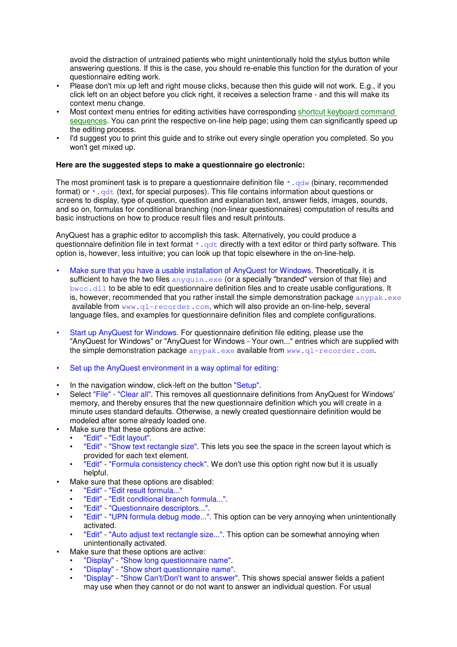avoid the distraction of untrained patients who might unintentionally hold the stylus button while answering questions. If this is the case, you should re-enable this function for the duration of your questionnaire editing work.

- Please don't mix up left and right mouse clicks, because then this guide will not work. E.g., if you click left on an object before you click right, it receives a selection frame - and this will make its context menu change.
- Most context menu entries for editing activities have corresponding shortcut keyboard command sequences. You can print the respective on-line help page; using them can significantly speed up the editing process.
- I'd suggest you to print this guide and to strike out every single operation you completed. So you won't get mixed up.

### **Here are the suggested steps to make a questionnaire go electronic:**

The most prominent task is to prepare a questionnaire definition file  $\star$ ,  $\alpha d$ w (binary, recommended format) or  $*$ ,  $qdt$  (text, for special purposes). This file contains information about questions or screens to display, type of question, question and explanation text, answer fields, images, sounds, and so on, formulas for conditional branching (non-linear questionnaires) computation of results and basic instructions on how to produce result files and result printouts.

AnyQuest has a graphic editor to accomplish this task. Alternatively, you could produce a questionnaire definition file in text format  $\star$ ,  $\det$  directly with a text editor or third party software. This option is, however, less intuitive; you can look up that topic elsewhere in the on-line-help.

- Make sure that you have a usable installation of AnyQuest for Windows. Theoretically, it is sufficient to have the two files anyquin.exe (or a specially "branded" version of that file) and bwcc.dll to be able to edit questionnaire definition files and to create usable configurations. It is, however, recommended that you rather install the simple demonstration package  $\alpha_{\text{np}}$ available from  $www. q1-recorder.com$ , which will also provide an on-line-help, several language files, and examples for questionnaire definition files and complete configurations.
- Start up AnyQuest for Windows. For questionnaire definition file editing, please use the "AnyQuest for Windows" or "AnyQuest for Windows - Your own..." entries which are supplied with the simple demonstration package anypak.exe available from www.ql-recorder.com.
- Set up the AnyQuest environment in a way optimal for editing:
- In the navigation window, click-left on the button "Setup".
- Select "File" "Clear all". This removes all questionnaire definitions from AnyQuest for Windows' memory, and thereby ensures that the new questionnaire definition which you will create in a minute uses standard defaults. Otherwise, a newly created questionnaire definition would be modeled after some already loaded one.
	- Make sure that these options are active:
	- "Edit" "Edit layout".
	- "Edit" "Show text rectangle size". This lets you see the space in the screen layout which is provided for each text element.
	- "Edit" "Formula consistency check". We don't use this option right now but it is usually helpful.
- Make sure that these options are disabled:
	- "Edit" "Edit result formula..."
	- "Edit" "Edit conditional branch formula...".
	- "Edit" "Questionnaire descriptors...".
	- "Edit" "UPN formula debug mode...". This option can be very annoying when unintentionally activated.
	- "Edit" "Auto adjust text rectangle size...". This option can be somewhat annoying when unintentionally activated.
- Make sure that these options are active:
	- "Display" "Show long questionnaire name".
	- "Display" "Show short questionnaire name".
	- "Display" "Show Can't/Don't want to answer". This shows special answer fields a patient may use when they cannot or do not want to answer an individual question. For usual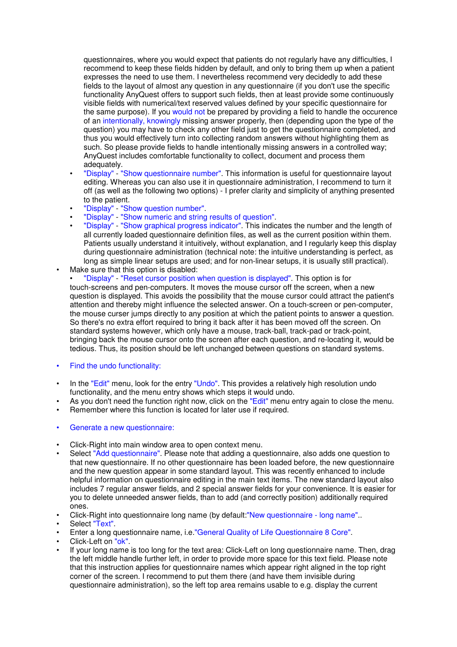questionnaires, where you would expect that patients do not regularly have any difficulties, I recommend to keep these fields hidden by default, and only to bring them up when a patient expresses the need to use them. I nevertheless recommend very decidedly to add these fields to the layout of almost any question in any questionnaire (if you don't use the specific functionality AnyQuest offers to support such fields, then at least provide some continuously visible fields with numerical/text reserved values defined by your specific questionnaire for the same purpose). If you would not be prepared by providing a field to handle the occurence of an intentionally, knowingly missing answer properly, then (depending upon the type of the question) you may have to check any other field just to get the questionnaire completed, and thus you would effectively turn into collecting random answers without highlighting them as such. So please provide fields to handle intentionally missing answers in a controlled way; AnyQuest includes comfortable functionality to collect, document and process them adequately.

- "Display" "Show questionnaire number". This information is useful for questionnaire layout editing. Whereas you can also use it in questionnaire administration, I recommend to turn it off (as well as the following two options) - I prefer clarity and simplicity of anything presented to the patient.
- "Display" "Show question number".
- "Display" "Show numeric and string results of question".
- "Display" "Show graphical progress indicator". This indicates the number and the length of all currently loaded questionnaire definition files, as well as the current position within them. Patients usually understand it intuitively, without explanation, and I regularly keep this display during questionnaire administration (technical note: the intuitive understanding is perfect, as long as simple linear setups are used; and for non-linear setups, it is usually still practical). Make sure that this option is disabled:
- "Display" "Reset cursor position when question is displayed". This option is for touch-screens and pen-computers. It moves the mouse cursor off the screen, when a new question is displayed. This avoids the possibility that the mouse cursor could attract the patient's attention and thereby might influence the selected answer. On a touch-screen or pen-computer, the mouse curser jumps directly to any position at which the patient points to answer a question. So there's no extra effort required to bring it back after it has been moved off the screen. On standard systems however, which only have a mouse, track-ball, track-pad or track-point, bringing back the mouse cursor onto the screen after each question, and re-locating it, would be tedious. Thus, its position should be left unchanged between questions on standard systems.
- Find the undo functionality:
- In the "Edit" menu, look for the entry "Undo". This provides a relatively high resolution undo functionality, and the menu entry shows which steps it would undo.
- As you don't need the function right now, click on the "Edit" menu entry again to close the menu.
- Remember where this function is located for later use if required.
- Generate a new questionnaire:
- Click-Right into main window area to open context menu.
- Select "Add questionnaire". Please note that adding a questionnaire, also adds one question to that new questionnaire. If no other questionnaire has been loaded before, the new questionnaire and the new question appear in some standard layout. This was recently enhanced to include helpful information on questionnaire editing in the main text items. The new standard layout also includes 7 regular answer fields, and 2 special answer fields for your convenience. It is easier for you to delete unneeded answer fields, than to add (and correctly position) additionally required ones.
- Click-Right into questionnaire long name (by default: New questionnaire long name"...
- Select "Text".
- Enter a long questionnaire name, i.e."General Quality of Life Questionnaire 8 Core".
- Click-Left on "ok".
- If your long name is too long for the text area: Click-Left on long questionnaire name. Then, drag the left middle handle further left, in order to provide more space for this text field. Please note that this instruction applies for questionnaire names which appear right aligned in the top right corner of the screen. I recommend to put them there (and have them invisible during questionnaire administration), so the left top area remains usable to e.g. display the current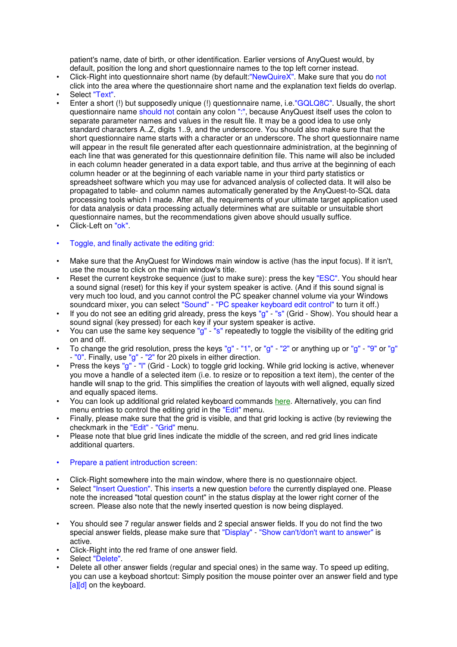patient's name, date of birth, or other identification. Earlier versions of AnyQuest would, by default, position the long and short questionnaire names to the top left corner instead.

- Click-Right into questionnaire short name (by default:"NewQuireX". Make sure that you do not click into the area where the questionnaire short name and the explanation text fields do overlap.
- Select "Text".
- Enter a short (!) but supposedly unique (!) questionnaire name, i.e."GQLQ8C". Usually, the short questionnaire name should not contain any colon ":", because AnyQuest itself uses the colon to separate parameter names and values in the result file. It may be a good idea to use only standard characters A..Z, digits 1..9, and the underscore. You should also make sure that the short questionnaire name starts with a character or an underscore. The short questionnaire name will appear in the result file generated after each questionnaire administration, at the beginning of each line that was generated for this questionnaire definition file. This name will also be included in each column header generated in a data export table, and thus arrive at the beginning of each column header or at the beginning of each variable name in your third party statistics or spreadsheet software which you may use for advanced analysis of collected data. It will also be propagated to table- and column names automatically generated by the AnyQuest-to-SQL data processing tools which I made. After all, the requirements of your ultimate target application used for data analysis or data processing actually determines what are suitable or unsuitable short questionnaire names, but the recommendations given above should usually suffice.
- Click-Left on "ok".
- Toggle, and finally activate the editing grid:
- Make sure that the AnyQuest for Windows main window is active (has the input focus). If it isn't, use the mouse to click on the main window's title.
- Reset the current keystroke sequence (just to make sure): press the key "ESC". You should hear a sound signal (reset) for this key if your system speaker is active. (And if this sound signal is very much too loud, and you cannot control the PC speaker channel volume via your Windows soundcard mixer, you can select "Sound" - "PC speaker keyboard edit control" to turn it off.)
- If you do not see an editing grid already, press the keys "g" "s" (Grid Show). You should hear a sound signal (key pressed) for each key if your system speaker is active.
- You can use the same key sequence "g" "s" repeatedly to toggle the visibility of the editing grid on and off.
- To change the grid resolution, press the keys "g" "1", or "g" "2" or anything up or "g" "9" or "g" - "0". Finally, use "g" - "2" for 20 pixels in either direction.
- Press the keys "g" "l" (Grid Lock) to toggle grid locking. While grid locking is active, whenever you move a handle of a selected item (i.e. to resize or to reposition a text item), the center of the handle will snap to the grid. This simplifies the creation of layouts with well aligned, equally sized and equally spaced items.
- You can look up additional grid related keyboard commands here. Alternatively, you can find menu entries to control the editing grid in the "Edit" menu.
- Finally, please make sure that the grid is visible, and that grid locking is active (by reviewing the checkmark in the "Edit" - "Grid" menu.
- Please note that blue grid lines indicate the middle of the screen, and red grid lines indicate additional quarters.
- Prepare a patient introduction screen:
- Click-Right somewhere into the main window, where there is no questionnaire object.
- Select "Insert Question". This inserts a new question before the currently displayed one. Please note the increased "total question count" in the status display at the lower right corner of the screen. Please also note that the newly inserted question is now being displayed.
- You should see 7 regular answer fields and 2 special answer fields. If you do not find the two special answer fields, please make sure that "Display" - "Show can't/don't want to answer" is active.
- Click-Right into the red frame of one answer field.
- Select "Delete".
- Delete all other answer fields (regular and special ones) in the same way. To speed up editing, you can use a keyboad shortcut: Simply position the mouse pointer over an answer field and type [a][d] on the keyboard.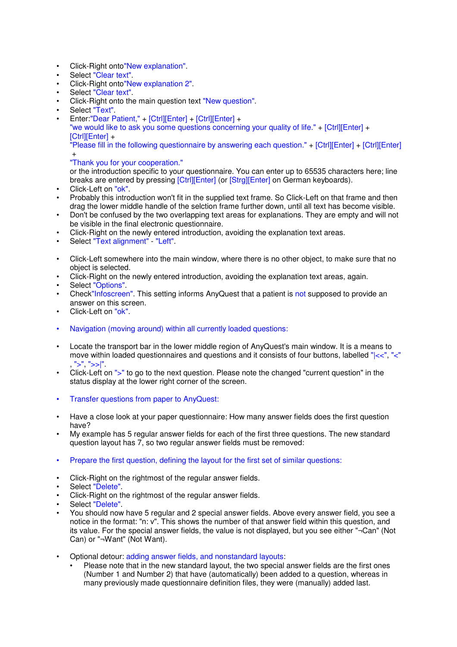- Click-Right onto"New explanation".
- Select "Clear text".
- Click-Right onto"New explanation 2".
- Select "Clear text".
- Click-Right onto the main question text "New question".
- Select "Text".
- Enter:"Dear Patient," + [Ctrl][Enter] + [Ctrl][Enter] + "we would like to ask you some questions concerning your quality of life." + [Ctrl][Enter] +

[Ctrl][Enter] + "Please fill in the following questionnaire by answering each question." + [Ctrl][Enter] + [Ctrl][Enter]

#### + "Thank you for your cooperation."

or the introduction specific to your questionnaire. You can enter up to 65535 characters here; line breaks are entered by pressing [Ctrl][Enter] (or [Strg][Enter] on German keyboards).

- Click-Left on "ok".
- Probably this introduction won't fit in the supplied text frame. So Click-Left on that frame and then drag the lower middle handle of the selction frame further down, until all text has become visible.
- Don't be confused by the two overlapping text areas for explanations. They are empty and will not be visible in the final electronic questionnaire.
- Click-Right on the newly entered introduction, avoiding the explanation text areas.
- Select "Text alignment" "Left".
- Click-Left somewhere into the main window, where there is no other object, to make sure that no object is selected.
- Click-Right on the newly entered introduction, avoiding the explanation text areas, again.
- Select "Options"
- Check"Infoscreen". This setting informs AnyQuest that a patient is not supposed to provide an answer on this screen.
- Click-Left on "ok".
- Navigation (moving around) within all currently loaded questions:
- Locate the transport bar in the lower middle region of AnyQuest's main window. It is a means to move within loaded questionnaires and questions and it consists of four buttons, labelled "|<<", "<"  $">'$ ", " $>>"$
- Click-Left on ">" to go to the next question. Please note the changed "current question" in the status display at the lower right corner of the screen.
- Transfer questions from paper to AnyQuest:
- Have a close look at your paper questionnaire: How many answer fields does the first question have?
- My example has 5 regular answer fields for each of the first three questions. The new standard question layout has 7, so two regular answer fields must be removed:
- Prepare the first question, defining the layout for the first set of similar questions:
- Click-Right on the rightmost of the regular answer fields.
- Select "Delete".
- Click-Right on the rightmost of the regular answer fields.
- Select "Delete".
- You should now have 5 regular and 2 special answer fields. Above every answer field, you see a notice in the format: "n: v". This shows the number of that answer field within this question, and its value. For the special answer fields, the value is not displayed, but you see either "¬Can" (Not Can) or "¬Want" (Not Want).
- Optional detour: adding answer fields, and nonstandard layouts:
	- Please note that in the new standard layout, the two special answer fields are the first ones (Number 1 and Number 2) that have (automatically) been added to a question, whereas in many previously made questionnaire definition files, they were (manually) added last.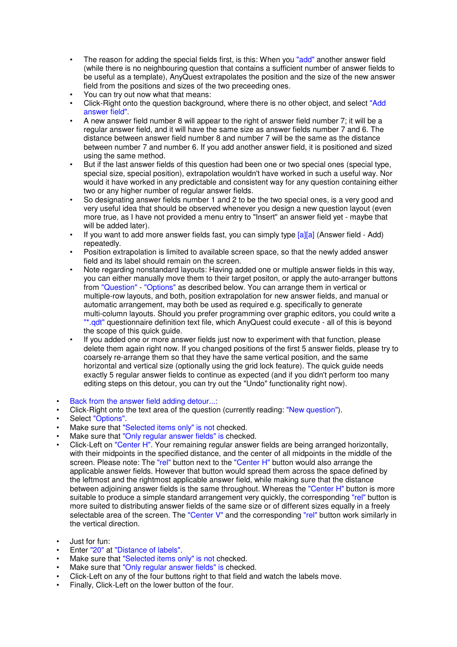- The reason for adding the special fields first, is this: When you "add" another answer field (while there is no neighbouring question that contains a sufficient number of answer fields to be useful as a template), AnyQuest extrapolates the position and the size of the new answer field from the positions and sizes of the two preceeding ones.
- You can try out now what that means:
- Click-Right onto the question background, where there is no other object, and select "Add answer field".
- A new answer field number 8 will appear to the right of answer field number 7; it will be a regular answer field, and it will have the same size as answer fields number 7 and 6. The distance between answer field number 8 and number 7 will be the same as the distance between number 7 and number 6. If you add another answer field, it is positioned and sized using the same method.
- But if the last answer fields of this question had been one or two special ones (special type, special size, special position), extrapolation wouldn't have worked in such a useful way. Nor would it have worked in any predictable and consistent way for any question containing either two or any higher number of regular answer fields.
- So designating answer fields number 1 and 2 to be the two special ones, is a very good and very useful idea that should be observed whenever you design a new question layout (even more true, as I have not provided a menu entry to "Insert" an answer field yet - maybe that will be added later).
- If you want to add more answer fields fast, you can simply type  $[a][a]$  (Answer field Add) repeatedly.
- Position extrapolation is limited to available screen space, so that the newly added answer field and its label should remain on the screen.
- Note regarding nonstandard layouts: Having added one or multiple answer fields in this way, you can either manually move them to their target positon, or apply the auto-arranger buttons from "Question" - "Options" as described below. You can arrange them in vertical or multiple-row layouts, and both, position extrapolation for new answer fields, and manual or automatic arrangement, may both be used as required e.g. specifically to generate multi-column layouts. Should you prefer programming over graphic editors, you could write a "\*.qdt" questionnaire definition text file, which AnyQuest could execute - all of this is beyond the scope of this quick guide.
- If you added one or more answer fields just now to experiment with that function, please delete them again right now. If you changed positions of the first 5 answer fields, please try to coarsely re-arrange them so that they have the same vertical position, and the same horizontal and vertical size (optionally using the grid lock feature). The quick guide needs exactly 5 regular answer fields to continue as expected (and if you didn't perform too many editing steps on this detour, you can try out the "Undo" functionality right now).
- Back from the answer field adding detour...:
- Click-Right onto the text area of the question (currently reading: "New question").
- Select "Options".
- Make sure that "Selected items only" is not checked.
- Make sure that "Only regular answer fields" is checked.
- Click-Left on "Center H". Your remaining regular answer fields are being arranged horizontally, with their midpoints in the specified distance, and the center of all midpoints in the middle of the screen. Please note: The "rel" button next to the "Center H" button would also arrange the applicable answer fields. However that button would spread them across the space defined by the leftmost and the rightmost applicable answer field, while making sure that the distance between adjoining answer fields is the same throughout. Whereas the "Center H" button is more suitable to produce a simple standard arrangement very quickly, the corresponding "rel" button is more suited to distributing answer fields of the same size or of different sizes equally in a freely selectable area of the screen. The "Center V" and the corresponding "rel" button work similarly in the vertical direction.
- Just for fun:
- Enter "20" at "Distance of labels".
- Make sure that "Selected items only" is not checked.
- Make sure that "Only regular answer fields" is checked.
- Click-Left on any of the four buttons right to that field and watch the labels move.
- Finally, Click-Left on the lower button of the four.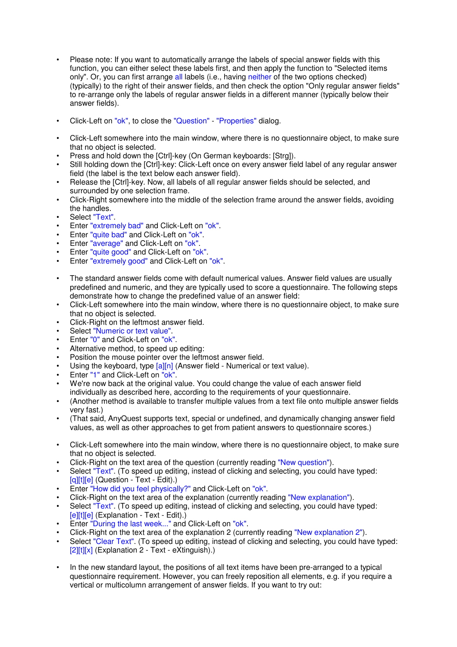- Please note: If you want to automatically arrange the labels of special answer fields with this function, you can either select these labels first, and then apply the function to "Selected items only". Or, you can first arrange all labels (i.e., having neither of the two options checked) (typically) to the right of their answer fields, and then check the option "Only regular answer fields" to re-arrange only the labels of regular answer fields in a different manner (typically below their answer fields).
- Click-Left on "ok", to close the "Question" "Properties" dialog.
- Click-Left somewhere into the main window, where there is no questionnaire object, to make sure that no object is selected.
- Press and hold down the [Ctrl]-key (On German keyboards: [Strg]).
- Still holding down the [Ctrl]-key: Click-Left once on every answer field label of any regular answer field (the label is the text below each answer field).
- Release the [Ctrl]-key. Now, all labels of all regular answer fields should be selected, and surrounded by one selection frame.
- Click-Right somewhere into the middle of the selection frame around the answer fields, avoiding the handles.
- Select "Text"
- Enter "extremely bad" and Click-Left on "ok".
- Enter "quite bad" and Click-Left on "ok".
- Enter "average" and Click-Left on "ok".
- Enter "quite good" and Click-Left on "ok".
- Enter "extremely good" and Click-Left on "ok".
- The standard answer fields come with default numerical values. Answer field values are usually predefined and numeric, and they are typically used to score a questionnaire. The following steps demonstrate how to change the predefined value of an answer field:
- Click-Left somewhere into the main window, where there is no questionnaire object, to make sure that no object is selected.
- Click-Right on the leftmost answer field.
- Select "Numeric or text value".
- Enter "0" and Click-Left on "ok".
- Alternative method, to speed up editing:
- Position the mouse pointer over the leftmost answer field.
- Using the keyboard, type [a][n] (Answer field Numerical or text value).
- Enter "1" and Click-Left on "ok"
- We're now back at the original value. You could change the value of each answer field individually as described here, according to the requirements of your questionnaire.
- (Another method is available to transfer multiple values from a text file onto multiple answer fields very fast.)
- (That said, AnyQuest supports text, special or undefined, and dynamically changing answer field values, as well as other approaches to get from patient answers to questionnaire scores.)
- Click-Left somewhere into the main window, where there is no questionnaire object, to make sure that no object is selected.
- Click-Right on the text area of the question (currently reading "New question").
- Select "Text". (To speed up editing, instead of clicking and selecting, you could have typed: [q][t][e] (Question - Text - Edit).)
- Enter "How did you feel physically?" and Click-Left on "ok".
- Click-Right on the text area of the explanation (currently reading "New explanation").
- Select "Text". (To speed up editing, instead of clicking and selecting, you could have typed: [e][t][e] (Explanation - Text - Edit).)
- Enter "During the last week..." and Click-Left on "ok".
- Click-Right on the text area of the explanation 2 (currently reading "New explanation 2").
- Select "Clear Text". (To speed up editing, instead of clicking and selecting, you could have typed: [2][t][x] (Explanation 2 - Text - eXtinguish).)
- In the new standard layout, the positions of all text items have been pre-arranged to a typical questionnaire requirement. However, you can freely reposition all elements, e.g. if you require a vertical or multicolumn arrangement of answer fields. If you want to try out: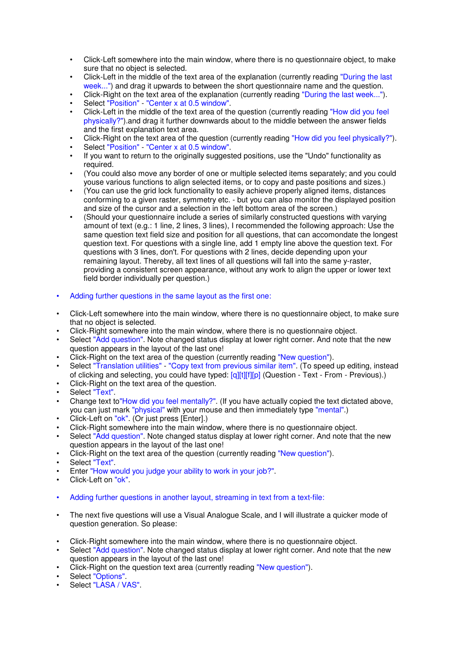- Click-Left somewhere into the main window, where there is no questionnaire object, to make sure that no object is selected.
- Click-Left in the middle of the text area of the explanation (currently reading "During the last week...") and drag it upwards to between the short questionnaire name and the question.
- Click-Right on the text area of the explanation (currently reading "During the last week...").
- Select "Position" "Center x at 0.5 window".
- Click-Left in the middle of the text area of the question (currently reading "How did you feel physically?").and drag it further downwards about to the middle between the answer fields and the first explanation text area.
- Click-Right on the text area of the question (currently reading "How did you feel physically?").
- Select "Position" "Center x at 0.5 window".
- If you want to return to the originally suggested positions, use the "Undo" functionality as required.
- (You could also move any border of one or multiple selected items separately; and you could youse various functions to align selected items, or to copy and paste positions and sizes.)
- (You can use the grid lock functionality to easily achieve properly aligned items, distances conforming to a given raster, symmetry etc. - but you can also monitor the displayed position and size of the cursor and a selection in the left bottom area of the screen.)
- (Should your questionnaire include a series of similarly constructed questions with varying amount of text (e.g.: 1 line, 2 lines, 3 lines), I recommended the following approach: Use the same question text field size and position for all questions, that can accomondate the longest question text. For questions with a single line, add 1 empty line above the question text. For questions with 3 lines, don't. For questions with 2 lines, decide depending upon your remaining layout. Thereby, all text lines of all questions will fall into the same y-raster, providing a consistent screen appearance, without any work to align the upper or lower text field border individually per question.)
- Adding further questions in the same layout as the first one:
- Click-Left somewhere into the main window, where there is no questionnaire object, to make sure that no object is selected.
- Click-Right somewhere into the main window, where there is no questionnaire object.
- Select "Add question". Note changed status display at lower right corner. And note that the new question appears in the layout of the last one!
- Click-Right on the text area of the question (currently reading "New question").
- Select "Translation utilities" "Copy text from previous similar item". (To speed up editing, instead of clicking and selecting, you could have typed: [q][t][f][p] (Question - Text - From - Previous).)
- Click-Right on the text area of the question.
- Select "Text".
- Change text to"How did you feel mentally?". (If you have actually copied the text dictated above, you can just mark "physical" with your mouse and then immediately type "mental".)
- Click-Left on "ok". (Or just press [Enter].)
- Click-Right somewhere into the main window, where there is no questionnaire object.
- Select "Add question". Note changed status display at lower right corner. And note that the new question appears in the layout of the last one!
- Click-Right on the text area of the question (currently reading "New question").
- Select "Text".
- Enter "How would you judge your ability to work in your job?".
- Click-Left on "ok".
- Adding further questions in another layout, streaming in text from a text-file:
- The next five questions will use a Visual Analogue Scale, and I will illustrate a quicker mode of question generation. So please:
- Click-Right somewhere into the main window, where there is no questionnaire object.
- Select "Add question". Note changed status display at lower right corner. And note that the new question appears in the layout of the last one!
- Click-Right on the question text area (currently reading "New question").
- Select "Options".
- Select "LASA / VAS".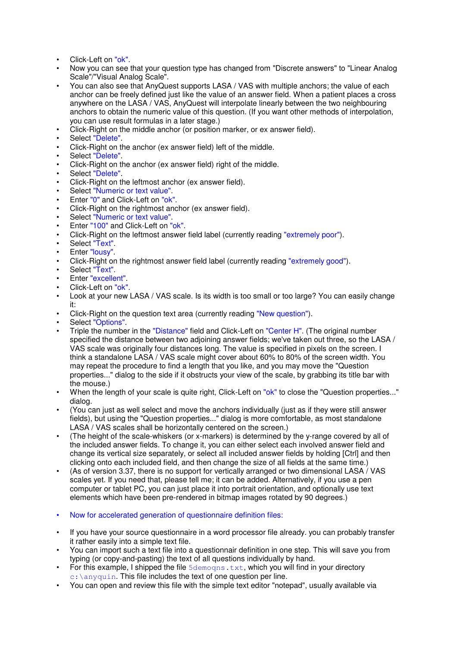- Click-Left on "ok".
- Now you can see that your question type has changed from "Discrete answers" to "Linear Analog Scale"/"Visual Analog Scale".
- You can also see that AnyQuest supports LASA / VAS with multiple anchors; the value of each anchor can be freely defined just like the value of an answer field. When a patient places a cross anywhere on the LASA / VAS, AnyQuest will interpolate linearly between the two neighbouring anchors to obtain the numeric value of this question. (If you want other methods of interpolation, you can use result formulas in a later stage.)
- Click-Right on the middle anchor (or position marker, or ex answer field).
- Select "Delete".
- Click-Right on the anchor (ex answer field) left of the middle.
- Select "Delete".
- Click-Right on the anchor (ex answer field) right of the middle.
- Select "Delete".
- Click-Right on the leftmost anchor (ex answer field).
- Select "Numeric or text value".
- Enter "0" and Click-Left on "ok".
- Click-Right on the rightmost anchor (ex answer field).
- Select "Numeric or text value".
- Enter "100" and Click-Left on "ok".
- Click-Right on the leftmost answer field label (currently reading "extremely poor").
- Select "Text".
- Enter "lousy".
- Click-Right on the rightmost answer field label (currently reading "extremely good").
- Select "Text".
- Enter "excellent".
- Click-Left on "ok".
- Look at your new LASA / VAS scale. Is its width is too small or too large? You can easily change it:
- Click-Right on the question text area (currently reading "New question").
- Select "Options".
- Triple the number in the "Distance" field and Click-Left on "Center H". (The original number specified the distance between two adjoining answer fields; we've taken out three, so the LASA / VAS scale was originally four distances long. The value is specified in pixels on the screen. I think a standalone LASA / VAS scale might cover about 60% to 80% of the screen width. You may repeat the procedure to find a length that you like, and you may move the "Question properties..." dialog to the side if it obstructs your view of the scale, by grabbing its title bar with the mouse.)
- When the length of your scale is quite right, Click-Left on "ok" to close the "Question properties..." dialog.
- (You can just as well select and move the anchors individually (just as if they were still answer fields), but using the "Question properties..." dialog is more comfortable, as most standalone LASA / VAS scales shall be horizontally centered on the screen.)
- (The height of the scale-whiskers (or x-markers) is determined by the y-range covered by all of the included answer fields. To change it, you can either select each involved answer field and change its vertical size separately, or select all included answer fields by holding [Ctrl] and then clicking onto each included field, and then change the size of all fields at the same time.)
- (As of version 3.37, there is no support for vertically arranged or two dimensional LASA / VAS scales yet. If you need that, please tell me; it can be added. Alternatively, if you use a pen computer or tablet PC, you can just place it into portrait orientation, and optionally use text elements which have been pre-rendered in bitmap images rotated by 90 degrees.)
- Now for accelerated generation of questionnaire definition files:
- If you have your source questionnaire in a word processor file already. you can probably transfer it rather easily into a simple text file.
- You can import such a text file into a questionnair definition in one step. This will save you from typing (or copy-and-pasting) the text of all questions individually by hand.
- For this example, I shipped the file  $5d$ emoqns.txt, which you will find in your directory  $c:\longrightarrow$  anyquin. This file includes the text of one question per line.
- You can open and review this file with the simple text editor "notepad", usually available via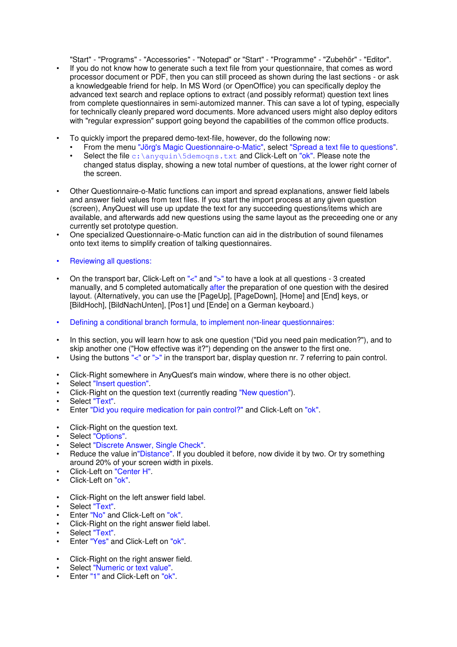"Start" - "Programs" - "Accessories" - "Notepad" or "Start" - "Programme" - "Zubehör" - "Editor". • If you do not know how to generate such a text file from your questionnaire, that comes as word processor document or PDF, then you can still proceed as shown during the last sections - or ask a knowledgeable friend for help. In MS Word (or OpenOffice) you can specifically deploy the advanced text search and replace options to extract (and possibly reformat) question text lines from complete questionnaires in semi-automized manner. This can save a lot of typing, especially for technically cleanly prepared word documents. More advanced users might also deploy editors with "regular expression" support going beyond the capabilities of the common office products.

- To quickly import the prepared demo-text-file, however, do the following now:
	- From the menu "Jörg's Magic Questionnaire-o-Matic", select "Spread a text file to questions".
	- Select the file  $c:\\any{quin}\5\demogns.txt$  and Click-Left on "ok". Please note the changed status display, showing a new total number of questions, at the lower right corner of the screen.
- Other Questionnaire-o-Matic functions can import and spread explanations, answer field labels and answer field values from text files. If you start the import process at any given question (screen), AnyQuest will use up update the text for any succeeding questions/items which are available, and afterwards add new questions using the same layout as the preceeding one or any currently set prototype question.
- One specialized Questionnaire-o-Matic function can aid in the distribution of sound filenames onto text items to simplify creation of talking questionnaires.
- Reviewing all questions:
- On the transport bar, Click-Left on "<" and ">" to have a look at all questions 3 created manually, and 5 completed automatically after the preparation of one question with the desired layout. (Alternatively, you can use the [PageUp], [PageDown], [Home] and [End] keys, or [BildHoch], [BildNachUnten], [Pos1] und [Ende] on a German keyboard.)
- Defining a conditional branch formula, to implement non-linear questionnaires:
- In this section, you will learn how to ask one question ("Did you need pain medication?"), and to skip another one ("How effective was it?") depending on the answer to the first one.
- Using the buttons "<" or ">" in the transport bar, display question nr. 7 referring to pain control.
- Click-Right somewhere in AnyQuest's main window, where there is no other object.
- Select "Insert question".
- Click-Right on the question text (currently reading "New question").
- Select "Text"
- Enter "Did you require medication for pain control?" and Click-Left on "ok".
- Click-Right on the question text.
- Select "Options".
- Select "Discrete Answer, Single Check".
- Reduce the value in"Distance". If you doubled it before, now divide it by two. Or try something around 20% of your screen width in pixels.
- Click-Left on "Center H".
- Click-Left on "ok".
- Click-Right on the left answer field label.
- Select "Text".
- Enter "No" and Click-Left on "ok".
- Click-Right on the right answer field label.
- Select "Text".
- Enter "Yes" and Click-Left on "ok".
- Click-Right on the right answer field.
- Select "Numeric or text value".
- Enter "1" and Click-Left on "ok".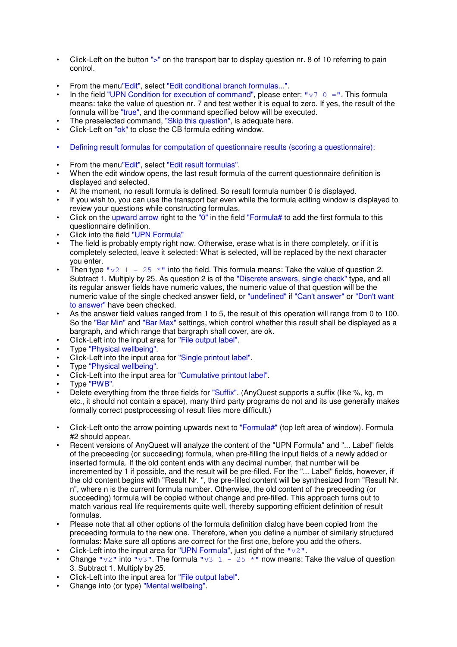- Click-Left on the button ">" on the transport bar to display question nr. 8 of 10 referring to pain control.
- From the menu"Edit", select "Edit conditional branch formulas...".
- In the field "UPN Condition for execution of command", please enter: " $\nabla \nabla \cdot \mathbf{r} = \nabla \cdot \mathbf{r}$ . This formula means: take the value of question nr. 7 and test wether it is equal to zero. If yes, the result of the formula will be "true", and the command specified below will be executed.
- The preselected command, "Skip this question", is adequate here.
- Click-Left on "ok" to close the CB formula editing window.
- Defining result formulas for computation of questionnaire results (scoring a questionnaire):
- From the menu"Edit", select "Edit result formulas".
- When the edit window opens, the last result formula of the current questionnaire definition is displayed and selected.
- At the moment, no result formula is defined. So result formula number 0 is displayed.
- If you wish to, you can use the transport bar even while the formula editing window is displayed to review your questions while constructing formulas.
- Click on the upward arrow right to the " $0$ " in the field "Formula# to add the first formula to this questionnaire definition.
- Click into the field "UPN Formula"
- The field is probably empty right now. Otherwise, erase what is in there completely, or if it is completely selected, leave it selected: What is selected, will be replaced by the next character you enter.
- Then type  $\sqrt{v^2 + 1} 25 \times \sqrt{v^2}$  into the field. This formula means: Take the value of question 2. Subtract 1. Multiply by 25. As question 2 is of the "Discrete answers, single check" type, and all its regular answer fields have numeric values, the numeric value of that question will be the numeric value of the single checked answer field, or "undefined" if "Can't answer" or "Don't want to answer" have been checked.
- As the answer field values ranged from 1 to 5, the result of this operation will range from 0 to 100. So the "Bar Min" and "Bar Max" settings, which control whether this result shall be displayed as a bargraph, and which range that bargraph shall cover, are ok.
- Click-Left into the input area for "File output label".
- Type "Physical wellbeing".
- Click-Left into the input area for "Single printout label".
- Type "Physical wellbeing".
- Click-Left into the input area for "Cumulative printout label".
- Type "PWB".
- Delete everything from the three fields for "Suffix". (AnyQuest supports a suffix (like %, kg, m etc., it should not contain a space), many third party programs do not and its use generally makes formally correct postprocessing of result files more difficult.)
- Click-Left onto the arrow pointing upwards next to "Formula#" (top left area of window). Formula #2 should appear.
- Recent versions of AnyQuest will analyze the content of the "UPN Formula" and "... Label" fields of the preceeding (or succeeding) formula, when pre-filling the input fields of a newly added or inserted formula. If the old content ends with any decimal number, that number will be incremented by 1 if possible, and the result will be pre-filled. For the "... Label" fields, however, if the old content begins with "Result Nr. ", the pre-filled content will be synthesized from "Result Nr. n", where n is the current formula number. Otherwise, the old content of the preceeding (or succeeding) formula will be copied without change and pre-filled. This approach turns out to match various real life requirements quite well, thereby supporting efficient definition of result formulas.
- Please note that all other options of the formula definition dialog have been copied from the preceeding formula to the new one. Therefore, when you define a number of similarly structured formulas: Make sure all options are correct for the first one, before you add the others.
- Click-Left into the input area for "UPN Formula", just right of the " $v2$ ".
- Change " $v2$ " into " $v3$ ". The formula " $v3$  1 25 \*" now means: Take the value of question 3. Subtract 1. Multiply by 25.
- Click-Left into the input area for "File output label".
- Change into (or type) "Mental wellbeing".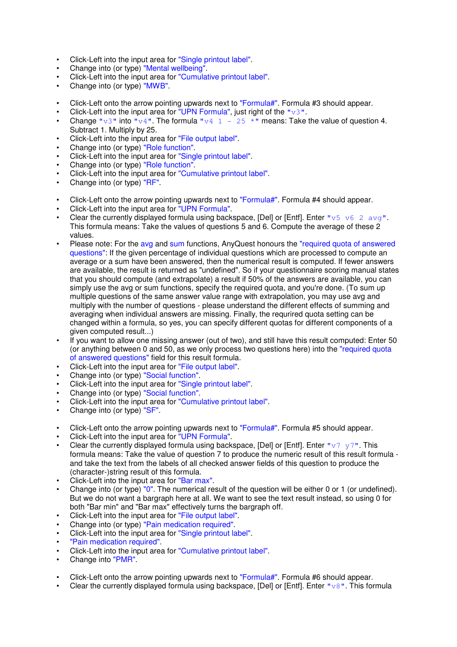- Click-Left into the input area for "Single printout label".
- Change into (or type) "Mental wellbeing".
- Click-Left into the input area for "Cumulative printout label".
- Change into (or type) "MWB".
- Click-Left onto the arrow pointing upwards next to "Formula#". Formula #3 should appear.
- Click-Left into the input area for "UPN Formula", just right of the " $v3$ ".
- Change " $v3$ " into " $v4$ ". The formula " $v4 \quad 1 25 \quad *$ " means: Take the value of question 4. Subtract 1. Multiply by 25.
- Click-Left into the input area for "File output label".
- Change into (or type) "Role function".
- Click-Left into the input area for "Single printout label".
- Change into (or type) "Role function".
- Click-Left into the input area for "Cumulative printout label".
- Change into (or type) "RF".
- Click-Left onto the arrow pointing upwards next to "Formula#". Formula #4 should appear.
- Click-Left into the input area for "UPN Formula".
- Clear the currently displayed formula using backspace, [Del] or [Entf]. Enter "v5 v6 2 avg". This formula means: Take the values of questions 5 and 6. Compute the average of these 2 values.
- Please note: For the avg and sum functions, AnyQuest honours the "required quota of answered questions": If the given percentage of individual questions which are processed to compute an average or a sum have been answered, then the numerical result is computed. If fewer answers are available, the result is returned as "undefined". So if your questionnaire scoring manual states that you should compute (and extrapolate) a result if 50% of the answers are available, you can simply use the avg or sum functions, specify the required quota, and you're done. (To sum up multiple questions of the same answer value range with extrapolation, you may use avg and multiply with the number of questions - please understand the different effects of summing and averaging when individual answers are missing. Finally, the requrired quota setting can be changed within a formula, so yes, you can specify different quotas for different components of a given computed result...)
- If you want to allow one missing answer (out of two), and still have this result computed: Enter 50 (or anything between 0 and 50, as we only process two questions here) into the "required quota of answered questions" field for this result formula.
- Click-Left into the input area for "File output label".
- Change into (or type) "Social function".
- Click-Left into the input area for "Single printout label".
- Change into (or type) "Social function".
- Click-Left into the input area for "Cumulative printout label".
- Change into (or type) "SF".
- Click-Left onto the arrow pointing upwards next to "Formula#". Formula #5 should appear.
- Click-Left into the input area for "UPN Formula".
- Clear the currently displayed formula using backspace, [Del] or [Entf]. Enter " $v7 v7$ ". This formula means: Take the value of question 7 to produce the numeric result of this result formula and take the text from the labels of all checked answer fields of this question to produce the (character-)string result of this formula.
- Click-Left into the input area for "Bar max".
- Change into (or type) "0". The numerical result of the question will be either 0 or 1 (or undefined). But we do not want a bargraph here at all. We want to see the text result instead, so using 0 for both "Bar min" and "Bar max" effectively turns the bargraph off.
- Click-Left into the input area for "File output label".
- Change into (or type) "Pain medication required".
- Click-Left into the input area for "Single printout label".
- "Pain medication required".
- Click-Left into the input area for "Cumulative printout label".
- Change into "PMR".
- Click-Left onto the arrow pointing upwards next to "Formula#". Formula #6 should appear.
- Clear the currently displayed formula using backspace, [Del] or [Entf]. Enter " $v8$ ". This formula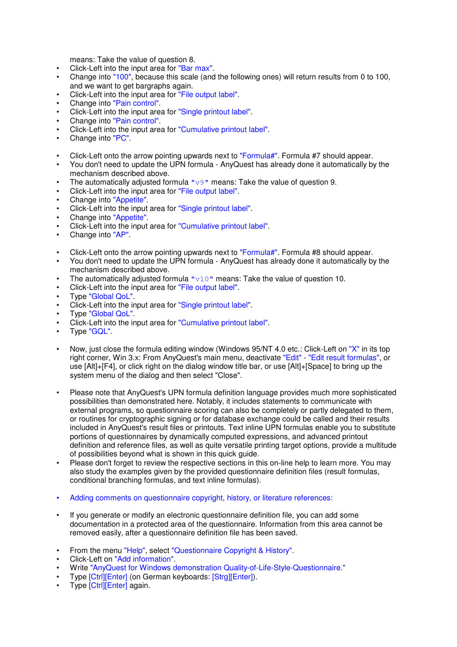means: Take the value of question 8.

- Click-Left into the input area for "Bar max".
- Change into "100", because this scale (and the following ones) will return results from 0 to 100, and we want to get bargraphs again.
- Click-Left into the input area for "File output label".
- Change into "Pain control".
- Click-Left into the input area for "Single printout label".
- Change into "Pain control".
- Click-Left into the input area for "Cumulative printout label".
- Change into "PC".
- Click-Left onto the arrow pointing upwards next to "Formula#". Formula #7 should appear.
- You don't need to update the UPN formula AnyQuest has already done it automatically by the mechanism described above.
- The automatically adjusted formula  $\sqrt{v}$   $\sqrt{v}$  means: Take the value of question 9.
- Click-Left into the input area for "File output label".
- Change into "Appetite".
- Click-Left into the input area for "Single printout label".
- Change into "Appetite".
- Click-Left into the input area for "Cumulative printout label".
- Change into "AP".
- Click-Left onto the arrow pointing upwards next to "Formula#". Formula #8 should appear.
- You don't need to update the UPN formula AnyQuest has already done it automatically by the mechanism described above.
- The automatically adjusted formula  $\sqrt[n]{10}$  means: Take the value of question 10.
- Click-Left into the input area for "File output label".
- Type "Global QoL".
- Click-Left into the input area for "Single printout label".
- Type "Global QoL".
- Click-Left into the input area for "Cumulative printout label".
- Type "GQL".
- Now, just close the formula editing window (Windows 95/NT 4.0 etc.: Click-Left on "X" in its top right corner, Win 3.x: From AnyQuest's main menu, deactivate "Edit" - "Edit result formulas", or use [Alt]+[F4], or click right on the dialog window title bar, or use [Alt]+[Space] to bring up the system menu of the dialog and then select "Close".
- Please note that AnyQuest's UPN formula definition language provides much more sophisticated possibilities than demonstrated here. Notably, it includes statements to communicate with external programs, so questionnaire scoring can also be completely or partly delegated to them, or routines for cryptographic signing or for database exchange could be called and their results included in AnyQuest's result files or printouts. Text inline UPN formulas enable you to substitute portions of questionnaires by dynamically computed expressions, and advanced printout definition and reference files, as well as quite versatile printing target options, provide a multitude of possibilities beyond what is shown in this quick guide.
- Please don't forget to review the respective sections in this on-line help to learn more. You may also study the examples given by the provided questionnaire definition files (result formulas, conditional branching formulas, and text inline formulas).
- Adding comments on questionnaire copyright, history, or literature references:
- If you generate or modify an electronic questionnaire definition file, you can add some documentation in a protected area of the questionnaire. Information from this area cannot be removed easily, after a questionnaire definition file has been saved.
- From the menu "Help", select "Questionnaire Copyright & History".
- Click-Left on "Add information".
- Write "AnyQuest for Windows demonstration Quality-of-Life-Style-Questionnaire."
- Type [Ctrl][Enter] (on German keyboards: [Strg][Enter]).
- Type [Ctrl][Enter] again.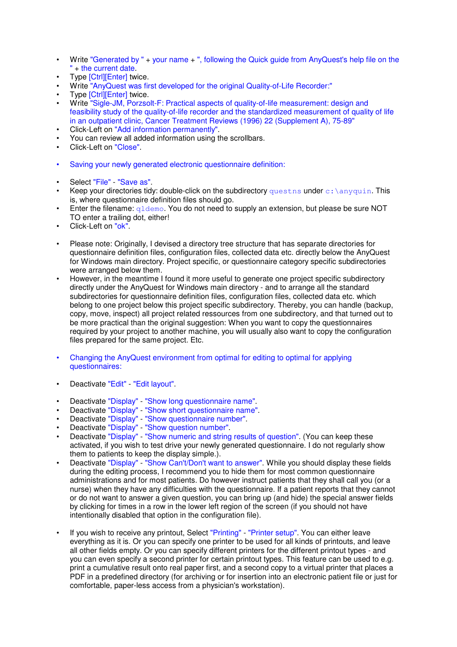- Write "Generated by " + your name + ", following the Quick guide from AnyQuest's help file on the " + the current date.
- Type [Ctrl][Enter] twice.
- Write "AnyQuest was first developed for the original Quality-of-Life Recorder:"
- Type [Ctrl][Enter] twice.
- Write "Sigle-JM, Porzsolt-F: Practical aspects of quality-of-life measurement: design and feasibility study of the quality-of-life recorder and the standardized measurement of quality of life in an outpatient clinic, Cancer Treatment Reviews (1996) 22 (Supplement A), 75-89"
- Click-Left on "Add information permanently".
- You can review all added information using the scrollbars.
- Click-Left on "Close".
- Saving your newly generated electronic questionnaire definition:
- Select "File" "Save as".
- Keep your directories tidy: double-click on the subdirectory quest ns under  $c:$  \anyquin. This is, where questionnaire definition files should go.
- Enter the filename:  $q1$ demo. You do not need to supply an extension, but please be sure NOT TO enter a trailing dot, either!
- Click-Left on "ok".
- Please note: Originally, I devised a directory tree structure that has separate directories for questionnaire definition files, configuration files, collected data etc. directly below the AnyQuest for Windows main directory. Project specific, or questionnaire category specific subdirectories were arranged below them.
- However, in the meantime I found it more useful to generate one project specific subdirectory directly under the AnyQuest for Windows main directory - and to arrange all the standard subdirectories for questionnaire definition files, configuration files, collected data etc. which belong to one project below this project specific subdirectory. Thereby, you can handle (backup, copy, move, inspect) all project related ressources from one subdirectory, and that turned out to be more practical than the original suggestion: When you want to copy the questionnaires required by your project to another machine, you will usually also want to copy the configuration files prepared for the same project. Etc.
- Changing the AnyQuest environment from optimal for editing to optimal for applying questionnaires:
- Deactivate "Edit" "Edit layout".
- Deactivate "Display" "Show long questionnaire name".
- Deactivate "Display" "Show short questionnaire name".
- Deactivate "Display" "Show questionnaire number".
- Deactivate "Display" "Show question number".
- Deactivate "Display" "Show numeric and string results of question". (You can keep these activated, if you wish to test drive your newly generated questionnaire. I do not regularly show them to patients to keep the display simple.).
- Deactivate "Display" "Show Can't/Don't want to answer". While you should display these fields during the editing process, I recommend you to hide them for most common questionnaire administrations and for most patients. Do however instruct patients that they shall call you (or a nurse) when they have any difficulties with the questionnaire. If a patient reports that they cannot or do not want to answer a given question, you can bring up (and hide) the special answer fields by clicking for times in a row in the lower left region of the screen (if you should not have intentionally disabled that option in the configuration file).
- If you wish to receive any printout, Select "Printing" "Printer setup". You can either leave everything as it is. Or you can specify one printer to be used for all kinds of printouts, and leave all other fields empty. Or you can specify different printers for the different printout types - and you can even specify a second printer for certain printout types. This feature can be used to e.g. print a cumulative result onto real paper first, and a second copy to a virtual printer that places a PDF in a predefined directory (for archiving or for insertion into an electronic patient file or just for comfortable, paper-less access from a physician's workstation).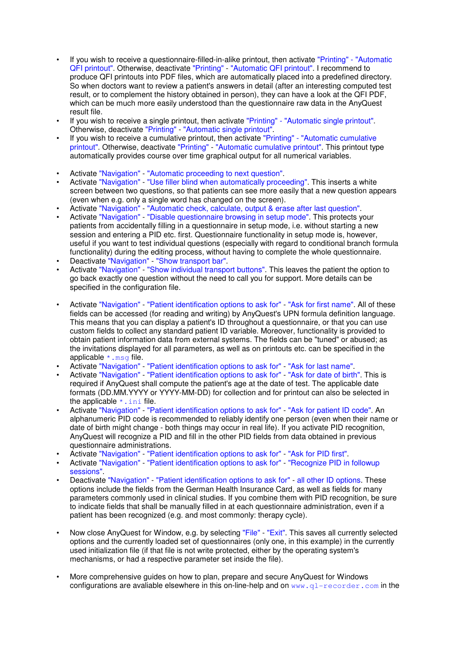- If you wish to receive a questionnaire-filled-in-alike printout, then activate "Printing" "Automatic QFI printout". Otherwise, deactivate "Printing" - "Automatic QFI printout". I recommend to produce QFI printouts into PDF files, which are automatically placed into a predefined directory. So when doctors want to review a patient's answers in detail (after an interesting computed test result, or to complement the history obtained in person), they can have a look at the QFI PDF, which can be much more easily understood than the questionnaire raw data in the AnyQuest result file.
- If you wish to receive a single printout, then activate "Printing" "Automatic single printout". Otherwise, deactivate "Printing" - "Automatic single printout".
- If you wish to receive a cumulative printout, then activate "Printing" "Automatic cumulative printout". Otherwise, deactivate "Printing" - "Automatic cumulative printout". This printout type automatically provides course over time graphical output for all numerical variables.
- Activate "Navigation" "Automatic proceeding to next question".
- Activate "Navigation" "Use filler blind when automatically proceeding". This inserts a white screen between two questions, so that patients can see more easily that a new question appears (even when e.g. only a single word has changed on the screen).
- Activate "Navigation" "Automatic check, calculate, output & erase after last question".
- Activate "Navigation" "Disable questionnaire browsing in setup mode". This protects your patients from accidentally filling in a questionnaire in setup mode, i.e. without starting a new session and entering a PID etc. first. Questionnaire functionality in setup mode is, however, useful if you want to test individual questions (especially with regard to conditional branch formula functionality) during the editing process, without having to complete the whole questionnaire.
- Deactivate "Navigation" "Show transport bar".
- Activate "Navigation" "Show individual transport buttons". This leaves the patient the option to go back exactly one question without the need to call you for support. More details can be specified in the configuration file.
- Activate "Navigation" "Patient identification options to ask for" "Ask for first name". All of these fields can be accessed (for reading and writing) by AnyQuest's UPN formula definition language. This means that you can display a patient's ID throughout a questionnaire, or that you can use custom fields to collect any standard patient ID variable. Moreover, functionality is provided to obtain patient information data from external systems. The fields can be "tuned" or abused; as the invitations displayed for all parameters, as well as on printouts etc. can be specified in the applicable  $*$ . msq file.
- Activate "Navigation" "Patient identification options to ask for" "Ask for last name".
- Activate "Navigation" "Patient identification options to ask for" "Ask for date of birth". This is required if AnyQuest shall compute the patient's age at the date of test. The applicable date formats (DD.MM.YYYY or YYYY-MM-DD) for collection and for printout can also be selected in the applicable  $*$ . ini file.
- Activate "Navigation" "Patient identification options to ask for" "Ask for patient ID code". An alphanumeric PID code is recommended to reliably identify one person (even when their name or date of birth might change - both things may occur in real life). If you activate PID recognition, AnyQuest will recognize a PID and fill in the other PID fields from data obtained in previous questionnaire administrations.
- Activate "Navigation" "Patient identification options to ask for" "Ask for PID first".
- Activate "Navigation" "Patient identification options to ask for" "Recognize PID in followup sessions".
- Deactivate "Navigation" "Patient identification options to ask for" all other ID options. These options include the fields from the German Health Insurance Card, as well as fields for many parameters commonly used in clinical studies. If you combine them with PID recognition, be sure to indicate fields that shall be manually filled in at each questionnaire administration, even if a patient has been recognized (e.g. and most commonly: therapy cycle).
- Now close AnyQuest for Window, e.g. by selecting "File" "Exit". This saves all currently selected options and the currently loaded set of questionnaires (only one, in this example) in the currently used initialization file (if that file is not write protected, either by the operating system's mechanisms, or had a respective parameter set inside the file).
- More comprehensive guides on how to plan, prepare and secure AnyQuest for Windows configurations are avaliable elsewhere in this on-line-help and on  $www. q1-recorder.com$  in the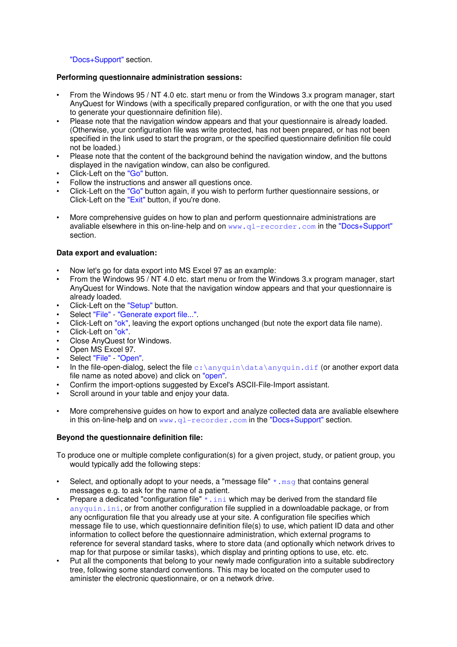"Docs+Support" section.

### **Performing questionnaire administration sessions:**

- From the Windows 95 / NT 4.0 etc. start menu or from the Windows 3.x program manager, start AnyQuest for Windows (with a specifically prepared configuration, or with the one that you used to generate your questionnaire definition file).
- Please note that the navigation window appears and that your questionnaire is already loaded. (Otherwise, your configuration file was write protected, has not been prepared, or has not been specified in the link used to start the program, or the specified questionnaire definition file could not be loaded.)
- Please note that the content of the background behind the navigation window, and the buttons displayed in the navigation window, can also be configured.
- Click-Left on the "Go" button.
- Follow the instructions and answer all questions once.
- Click-Left on the "Go" button again, if you wish to perform further questionnaire sessions, or Click-Left on the "Exit" button, if you're done.
- More comprehensive guides on how to plan and perform questionnaire administrations are avaliable elsewhere in this on-line-help and on www.ql-recorder.com in the "Docs+Support" section.

### **Data export and evaluation:**

- Now let's go for data export into MS Excel 97 as an example:
- From the Windows 95 / NT 4.0 etc. start menu or from the Windows 3.x program manager, start AnyQuest for Windows. Note that the navigation window appears and that your questionnaire is already loaded.
- Click-Left on the "Setup" button.
- Select "File" "Generate export file...".
- Click-Left on "ok", leaving the export options unchanged (but note the export data file name).
- Click-Left on "ok".
- Close AnyQuest for Windows.
- Open MS Excel 97.
- Select "File" "Open".
- In the file-open-dialog, select the file  $c:\\anyquin\data\anyquin$ .dif (or another export data file name as noted above) and click on "open".
- Confirm the import-options suggested by Excel's ASCII-File-Import assistant.
- Scroll around in your table and enjoy your data.
- More comprehensive guides on how to export and analyze collected data are avaliable elsewhere in this on-line-help and on  $www. q1-recorder.com$  in the "Docs+Support" section.

# **Beyond the questionnaire definition file:**

To produce one or multiple complete configuration(s) for a given project, study, or patient group, you would typically add the following steps:

- Select, and optionally adopt to your needs, a "message file"  $*$  and state contains general messages e.g. to ask for the name of a patient.
- Prepare a dedicated "configuration file"  $*$ . ini which may be derived from the standard file anyquin.ini, or from another configuration file supplied in a downloadable package, or from any ocnfiguration file that you already use at your site. A configuration file specifies which message file to use, which questionnaire definition file(s) to use, which patient ID data and other information to collect before the questionnaire administration, which external programs to reference for several standard tasks, where to store data (and optionally which network drives to map for that purpose or similar tasks), which display and printing options to use, etc. etc.
- Put all the components that belong to your newly made configuration into a suitable subdirectory tree, following some standard conventions. This may be located on the computer used to aminister the electronic questionnaire, or on a network drive.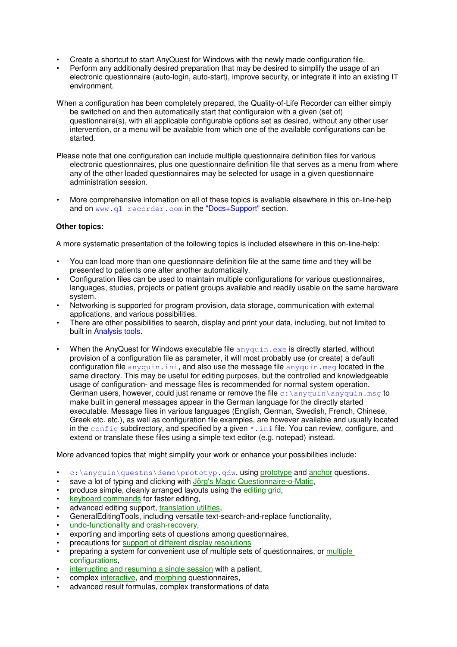- Create a shortcut to start AnyQuest for Windows with the newly made configuration file.
- Perform any additionally desired preparation that may be desired to simplify the usage of an electronic questionnaire (auto-login, auto-start), improve security, or integrate it into an existing IT environment.
- When a configuration has been completely prepared, the Quality-of-Life Recorder can either simply be switched on and then automatically start that configuraion with a given (set of) questionnaire(s), with all applicable configurable options set as desired, without any other user intervention, or a menu will be available from which one of the available configurations can be started.
- Please note that one configuration can include multiple questionnaire definition files for various electronic questionnaires, plus one questionnaire definition file that serves as a menu from where any of the other loaded questionnaires may be selected for usage in a given questionnaire administration session.
- More comprehensive infomation on all of these topics is avaliable elsewhere in this on-line-help and on www.ql-recorder.com in the "Docs+Support" section.

# **Other topics:**

A more systematic presentation of the following topics is included elsewhere in this on-line-help:

- You can load more than one questionnaire definition file at the same time and they will be presented to patients one after another automatically.
- Configuration files can be used to maintain multiple configurations for various questionnaires, languages, studies, projects or patient groups available and readily usable on the same hardware system.
- Networking is supported for program provision, data storage, communication with external applications, and various possibilities.
- There are other possibilities to search, display and print your data, including, but not limited to built in Analysis tools.
- When the AnyQuest for Windows executable file  $\frac{1}{2}$  anyquin.exe is directly started, without provision of a configuration file as parameter, it will most probably use (or create) a default configuration file anyquin, ini, and also use the message file anyquin,  $\text{msq}$  located in the same directory. This may be useful for editing purposes, but the controlled and knowledgeable usage of configuration- and message files is recommended for normal system operation. German users, however, could just rename or remove the file  $\text{c:}\$  anyquin $\text{anyquin}$ .msg to make built in general messages appear in the German language for the directly started executable. Message files in various languages (English, German, Swedish, French, Chinese, Greek etc. etc.), as well as configuration file examples, are however available and usually located in the  $\text{config}$  subdirectory, and specified by a given  $*$ , ini file. You can review, configure, and extend or translate these files using a simple text editor (e.g. notepad) instead.

More advanced topics that might simplify your work or enhance your possibilities include:

- c:\anyquin\questns\demo\prototyp.qdw, using prototype and anchor questions.
- save a lot of typing and clicking with Jörg's Magic Questionnaire-o-Matic,
- produce simple, cleanly arranged layouts using the editing grid,
- keyboard commands for faster editing,
- advanced editing support, translation utilities,
- GeneralEditingTools, including versatile text-search-and-replace functionality,
- undo-functionality and crash-recovery,
- exporting and importing sets of questions among questionnaires,
- precautions for support of different display resolutions
- preparing a system for convenient use of multiple sets of questionnaires, or multiple configurations,
- interrupting and resuming a single session with a patient.
- complex interactive, and morphing questionnaires,
- advanced result formulas, complex transformations of data